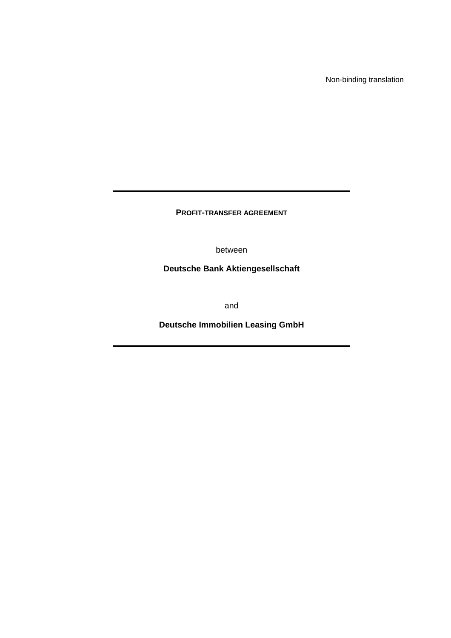Non-binding translation

**PROFIT-TRANSFER AGREEMENT** 

between

**Deutsche Bank Aktiengesellschaft** 

and

**Deutsche Immobilien Leasing GmbH**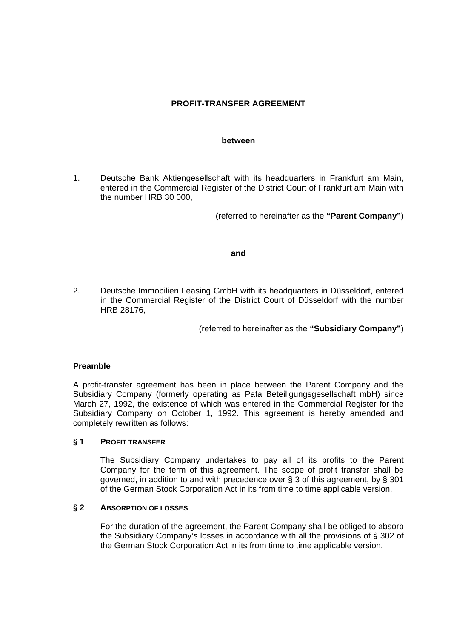# **PROFIT-TRANSFER AGREEMENT**

#### **between**

1. Deutsche Bank Aktiengesellschaft with its headquarters in Frankfurt am Main, entered in the Commercial Register of the District Court of Frankfurt am Main with the number HRB 30 000,

(referred to hereinafter as the **"Parent Company"**)

### **and**

2. Deutsche Immobilien Leasing GmbH with its headquarters in Düsseldorf, entered in the Commercial Register of the District Court of Düsseldorf with the number HRB 28176,

(referred to hereinafter as the **"Subsidiary Company"**)

### **Preamble**

A profit-transfer agreement has been in place between the Parent Company and the Subsidiary Company (formerly operating as Pafa Beteiligungsgesellschaft mbH) since March 27, 1992, the existence of which was entered in the Commercial Register for the Subsidiary Company on October 1, 1992. This agreement is hereby amended and completely rewritten as follows:

### **§ 1 PROFIT TRANSFER**

 The Subsidiary Company undertakes to pay all of its profits to the Parent Company for the term of this agreement. The scope of profit transfer shall be governed, in addition to and with precedence over § 3 of this agreement, by § 301 of the German Stock Corporation Act in its from time to time applicable version.

### **§ 2 ABSORPTION OF LOSSES**

 For the duration of the agreement, the Parent Company shall be obliged to absorb the Subsidiary Company's losses in accordance with all the provisions of § 302 of the German Stock Corporation Act in its from time to time applicable version.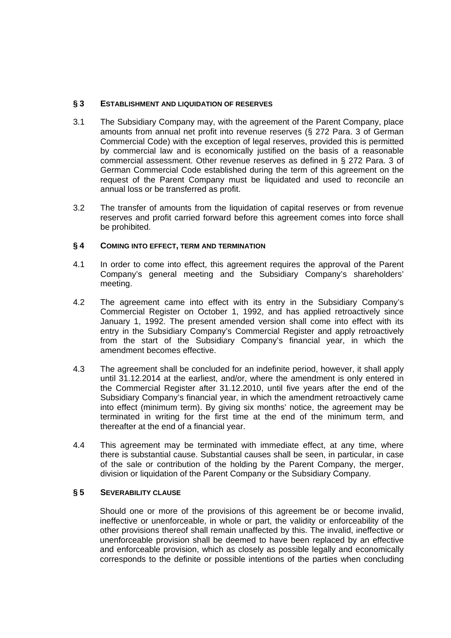## **§ 3 ESTABLISHMENT AND LIQUIDATION OF RESERVES**

- 3.1 The Subsidiary Company may, with the agreement of the Parent Company, place amounts from annual net profit into revenue reserves (§ 272 Para. 3 of German Commercial Code) with the exception of legal reserves, provided this is permitted by commercial law and is economically justified on the basis of a reasonable commercial assessment. Other revenue reserves as defined in § 272 Para. 3 of German Commercial Code established during the term of this agreement on the request of the Parent Company must be liquidated and used to reconcile an annual loss or be transferred as profit.
- 3.2 The transfer of amounts from the liquidation of capital reserves or from revenue reserves and profit carried forward before this agreement comes into force shall be prohibited.

## **§ 4 COMING INTO EFFECT, TERM AND TERMINATION**

- 4.1 In order to come into effect, this agreement requires the approval of the Parent Company's general meeting and the Subsidiary Company's shareholders' meeting.
- 4.2 The agreement came into effect with its entry in the Subsidiary Company's Commercial Register on October 1, 1992, and has applied retroactively since January 1, 1992. The present amended version shall come into effect with its entry in the Subsidiary Company's Commercial Register and apply retroactively from the start of the Subsidiary Company's financial year, in which the amendment becomes effective.
- 4.3 The agreement shall be concluded for an indefinite period, however, it shall apply until 31.12.2014 at the earliest, and/or, where the amendment is only entered in the Commercial Register after 31.12.2010, until five years after the end of the Subsidiary Company's financial year, in which the amendment retroactively came into effect (minimum term). By giving six months' notice, the agreement may be terminated in writing for the first time at the end of the minimum term, and thereafter at the end of a financial year.
- 4.4 This agreement may be terminated with immediate effect, at any time, where there is substantial cause. Substantial causes shall be seen, in particular, in case of the sale or contribution of the holding by the Parent Company, the merger, division or liquidation of the Parent Company or the Subsidiary Company.

## **§ 5 SEVERABILITY CLAUSE**

Should one or more of the provisions of this agreement be or become invalid, ineffective or unenforceable, in whole or part, the validity or enforceability of the other provisions thereof shall remain unaffected by this. The invalid, ineffective or unenforceable provision shall be deemed to have been replaced by an effective and enforceable provision, which as closely as possible legally and economically corresponds to the definite or possible intentions of the parties when concluding